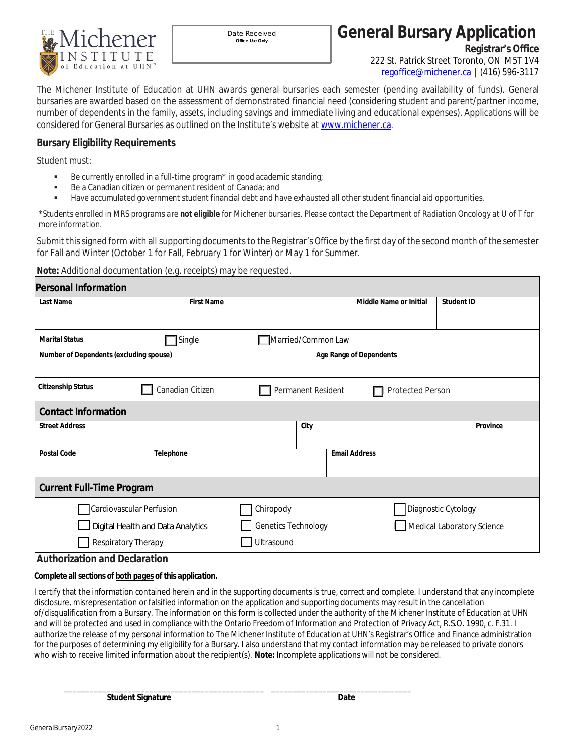

Date Received *Office Use Only*

**General Bursary Application**

**Registrar's Office** 222 St. Patrick Street Toronto, ON M5T 1V4 [regoffice@michener.ca](mailto:regoffice@michener.ca) │ (416) 596-3117

The Michener Institute of Education at UHN awards general bursaries each semester (pending availability of funds). General bursaries are awarded based on the assessment of demonstrated financial need (considering student and parent/partner income, number of dependents in the family, assets, including savings and immediate living and educational expenses). Applications will be considered for General Bursaries as outlined on the Institute's website at [www.michener.ca.](http://www.michener.ca/)

## **Bursary Eligibility Requirements**

Student must:

- Be currently enrolled in a full-time program\* in good academic standing;
- Be a Canadian citizen or permanent resident of Canada; and
- Have accumulated government student financial debt and have exhausted all other student financial aid opportunities.

*\*Students enrolled in MRS programs are not eligible for Michener bursaries. Please contact the Department of Radiation Oncology at U of T for more information.*

Submit this signed form with all supporting documents to the Registrar's Office by the first day of the second month of the semester for Fall and Winter (October 1 for Fall, February 1 for Winter) or May 1 for Summer.

**Note:** Additional documentation (e.g. receipts) may be requested.

| Personal Information                                                         |                                                            |                     |                         |                            |  |  |  |  |
|------------------------------------------------------------------------------|------------------------------------------------------------|---------------------|-------------------------|----------------------------|--|--|--|--|
| Last Name                                                                    | <b>First Name</b>                                          |                     | Middle Name or Initial  | Student ID                 |  |  |  |  |
|                                                                              |                                                            |                     |                         |                            |  |  |  |  |
| Single<br>Married/Common Law<br><b>Marital Status</b>                        |                                                            |                     |                         |                            |  |  |  |  |
| Number of Dependents (excluding spouse)                                      |                                                            |                     | Age Range of Dependents |                            |  |  |  |  |
| <b>Citizenship Status</b>                                                    | Canadian Citizen<br>Permanent Resident<br>Protected Person |                     |                         |                            |  |  |  |  |
| Contact Information                                                          |                                                            |                     |                         |                            |  |  |  |  |
| <b>Street Address</b>                                                        |                                                            | City                |                         | Province                   |  |  |  |  |
| Postal Code                                                                  | Telephone                                                  |                     | <b>Email Address</b>    |                            |  |  |  |  |
| Current Full-Time Program                                                    |                                                            |                     |                         |                            |  |  |  |  |
| Cardiovascular Perfusion                                                     |                                                            | Chiropody           |                         | Diagnostic Cytology        |  |  |  |  |
| Digital Health and Data Analytics                                            |                                                            | Genetics Technology |                         | Medical Laboratory Science |  |  |  |  |
| Respiratory Therapy                                                          |                                                            | Ultrasound          |                         |                            |  |  |  |  |
| $\mathbf{r}$ , and the set of $\mathbf{r}$ and $\mathbf{r}$ and $\mathbf{r}$ |                                                            |                     |                         |                            |  |  |  |  |

**Authorization and Declaration**

*Complete all sections of both pages of this application.*

I certify that the information contained herein and in the supporting documents is true, correct and complete. I understand that any incomplete disclosure, misrepresentation or falsified information on the application and supporting documents may result in the cancellation of/disqualification from a Bursary. The information on this form is collected under the authority of the Michener Institute of Education at UHN and will be protected and used in compliance with the Ontario Freedom of Information and Protection of Privacy Act, R.S.O. 1990, c. F.31. I authorize the release of my personal information to The Michener Institute of Education at UHN's Registrar's Office and Finance administration for the purposes of determining my eligibility for a Bursary. I also understand that my contact information may be released to private donors who wish to receive limited information about the recipient(s). **Note:** Incomplete applications will not be considered.

\_\_\_\_\_\_\_\_\_\_\_\_\_\_\_\_\_\_\_\_\_\_\_\_\_\_\_\_\_\_\_\_\_\_\_\_\_\_\_\_\_\_\_\_\_\_\_ \_\_\_\_\_\_\_\_\_\_\_\_\_\_\_\_\_\_\_\_\_\_\_\_\_\_\_\_\_\_\_\_\_ **Student Signature Date**